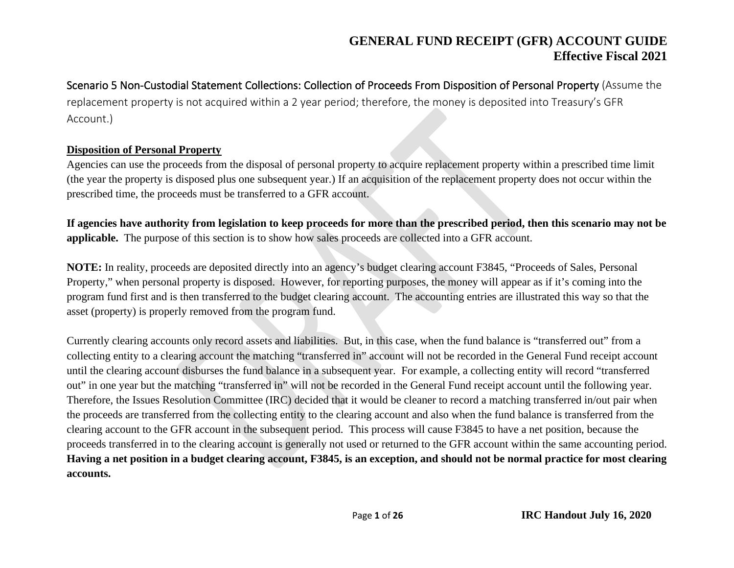Scenario 5 Non-Custodial Statement Collections: Collection of Proceeds From Disposition of Personal Property (Assume the replacement property is not acquired within a 2 year period; therefore, the money is deposited into Treasury's GFR Account.)

### **Disposition of Personal Property**

Agencies can use the proceeds from the disposal of personal property to acquire replacement property within a prescribed time limit (the year the property is disposed plus one subsequent year.) If an acquisition of the replacement property does not occur within the prescribed time, the proceeds must be transferred to a GFR account.

**If agencies have authority from legislation to keep proceeds for more than the prescribed period, then this scenario may not be applicable.** The purpose of this section is to show how sales proceeds are collected into a GFR account.

**NOTE:** In reality, proceeds are deposited directly into an agency's budget clearing account F3845, "Proceeds of Sales, Personal Property," when personal property is disposed. However, for reporting purposes, the money will appear as if it's coming into the program fund first and is then transferred to the budget clearing account. The accounting entries are illustrated this way so that the asset (property) is properly removed from the program fund.

Currently clearing accounts only record assets and liabilities. But, in this case, when the fund balance is "transferred out" from a collecting entity to a clearing account the matching "transferred in" account will not be recorded in the General Fund receipt account until the clearing account disburses the fund balance in a subsequent year. For example, a collecting entity will record "transferred out" in one year but the matching "transferred in" will not be recorded in the General Fund receipt account until the following year. Therefore, the Issues Resolution Committee (IRC) decided that it would be cleaner to record a matching transferred in/out pair when the proceeds are transferred from the collecting entity to the clearing account and also when the fund balance is transferred from the clearing account to the GFR account in the subsequent period. This process will cause F3845 to have a net position, because the proceeds transferred in to the clearing account is generally not used or returned to the GFR account within the same accounting period. **Having a net position in a budget clearing account, F3845, is an exception, and should not be normal practice for most clearing accounts.**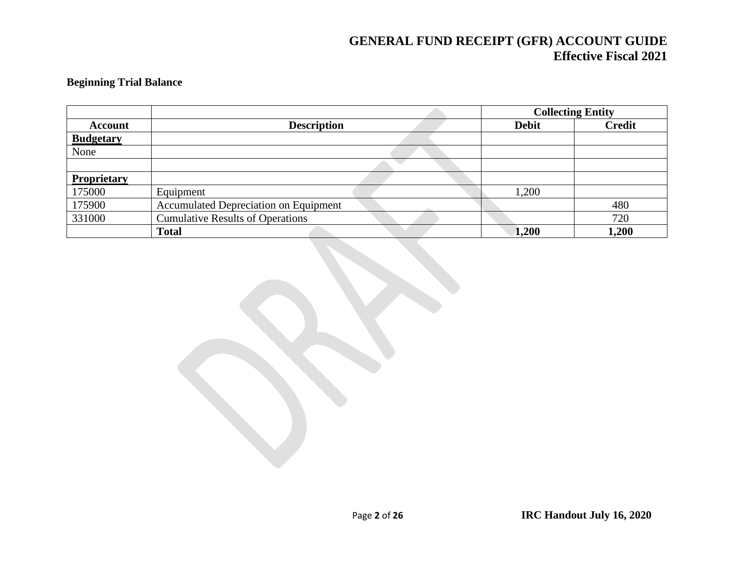### **Beginning Trial Balance**

|                  |                                              |              | <b>Collecting Entity</b> |
|------------------|----------------------------------------------|--------------|--------------------------|
| <b>Account</b>   | <b>Description</b>                           | <b>Debit</b> | <b>Credit</b>            |
| <b>Budgetary</b> |                                              |              |                          |
| None             |                                              |              |                          |
|                  |                                              |              |                          |
| Proprietary      |                                              |              |                          |
| 175000           | Equipment                                    | 1,200        |                          |
| 175900           | <b>Accumulated Depreciation on Equipment</b> |              | 480                      |
| 331000           | <b>Cumulative Results of Operations</b>      |              | 720                      |
|                  | <b>Total</b>                                 | 1,200        | 1,200                    |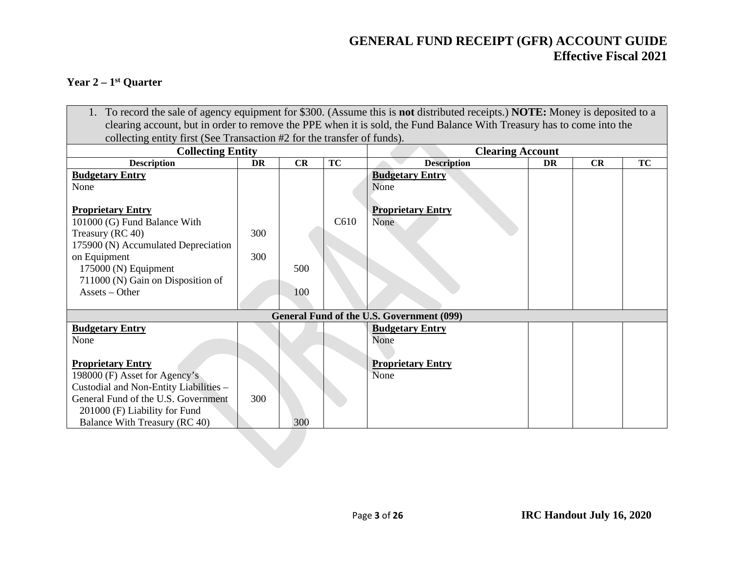### **Year 2 – 1st Quarter**

| 1. To record the sale of agency equipment for \$300. (Assume this is <b>not</b> distributed receipts.) <b>NOTE:</b> Money is deposited to a |           |     |           |                                           |           |    |    |  |  |  |
|---------------------------------------------------------------------------------------------------------------------------------------------|-----------|-----|-----------|-------------------------------------------|-----------|----|----|--|--|--|
| clearing account, but in order to remove the PPE when it is sold, the Fund Balance With Treasury has to come into the                       |           |     |           |                                           |           |    |    |  |  |  |
| collecting entity first (See Transaction #2 for the transfer of funds).                                                                     |           |     |           |                                           |           |    |    |  |  |  |
| <b>Collecting Entity</b>                                                                                                                    |           |     |           | <b>Clearing Account</b>                   |           |    |    |  |  |  |
| <b>Description</b>                                                                                                                          | <b>DR</b> | CR  | <b>TC</b> | <b>Description</b>                        | <b>DR</b> | CR | TC |  |  |  |
| <b>Budgetary Entry</b>                                                                                                                      |           |     |           | <b>Budgetary Entry</b>                    |           |    |    |  |  |  |
| None                                                                                                                                        |           |     |           | None                                      |           |    |    |  |  |  |
|                                                                                                                                             |           |     |           |                                           |           |    |    |  |  |  |
| <b>Proprietary Entry</b>                                                                                                                    |           |     |           | <b>Proprietary Entry</b>                  |           |    |    |  |  |  |
| 101000 (G) Fund Balance With                                                                                                                |           |     | C610      | None                                      |           |    |    |  |  |  |
| Treasury (RC 40)                                                                                                                            | 300       |     |           |                                           |           |    |    |  |  |  |
| 175900 (N) Accumulated Depreciation                                                                                                         |           |     |           |                                           |           |    |    |  |  |  |
| on Equipment                                                                                                                                | 300       |     |           |                                           |           |    |    |  |  |  |
| 175000 (N) Equipment                                                                                                                        |           | 500 |           |                                           |           |    |    |  |  |  |
| 711000 (N) Gain on Disposition of<br>Assets - Other                                                                                         |           | 100 |           |                                           |           |    |    |  |  |  |
|                                                                                                                                             |           |     |           |                                           |           |    |    |  |  |  |
|                                                                                                                                             |           |     |           | General Fund of the U.S. Government (099) |           |    |    |  |  |  |
| <b>Budgetary Entry</b>                                                                                                                      |           |     |           | <b>Budgetary Entry</b>                    |           |    |    |  |  |  |
| None                                                                                                                                        |           |     |           | None                                      |           |    |    |  |  |  |
|                                                                                                                                             |           |     |           |                                           |           |    |    |  |  |  |
| <b>Proprietary Entry</b>                                                                                                                    |           |     |           | <b>Proprietary Entry</b>                  |           |    |    |  |  |  |
| 198000 (F) Asset for Agency's                                                                                                               |           |     |           | None                                      |           |    |    |  |  |  |
| Custodial and Non-Entity Liabilities -                                                                                                      |           |     |           |                                           |           |    |    |  |  |  |
| General Fund of the U.S. Government                                                                                                         | 300       |     |           |                                           |           |    |    |  |  |  |
| 201000 (F) Liability for Fund                                                                                                               |           |     |           |                                           |           |    |    |  |  |  |
| Balance With Treasury (RC 40)                                                                                                               |           | 300 |           |                                           |           |    |    |  |  |  |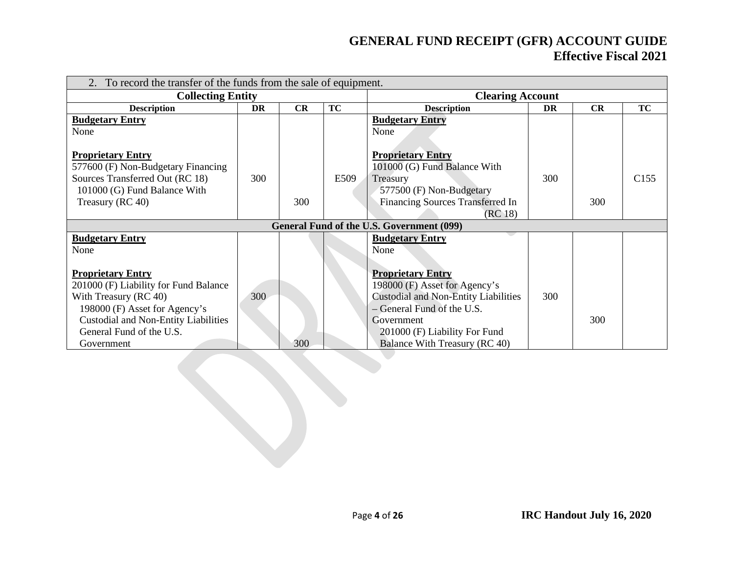| 2. To record the transfer of the funds from the sale of equipment.                                                                                                                       |     |     |           |                                                                                                                                                                                            |     |     |                  |  |
|------------------------------------------------------------------------------------------------------------------------------------------------------------------------------------------|-----|-----|-----------|--------------------------------------------------------------------------------------------------------------------------------------------------------------------------------------------|-----|-----|------------------|--|
| <b>Collecting Entity</b>                                                                                                                                                                 |     |     |           | <b>Clearing Account</b>                                                                                                                                                                    |     |     |                  |  |
| <b>Description</b>                                                                                                                                                                       | DR  | CR  | <b>TC</b> | <b>Description</b>                                                                                                                                                                         | DR  | CR  | <b>TC</b>        |  |
| <b>Budgetary Entry</b><br>None                                                                                                                                                           |     |     |           | <b>Budgetary Entry</b><br>None                                                                                                                                                             |     |     |                  |  |
| <b>Proprietary Entry</b><br>577600 (F) Non-Budgetary Financing<br>Sources Transferred Out (RC 18)<br>101000 (G) Fund Balance With<br>Treasury (RC 40)                                    | 300 | 300 | E509      | <b>Proprietary Entry</b><br>101000 (G) Fund Balance With<br>Treasury<br>577500 (F) Non-Budgetary<br>Financing Sources Transferred In<br>(RC 18)                                            | 300 | 300 | C <sub>155</sub> |  |
|                                                                                                                                                                                          |     |     |           | General Fund of the U.S. Government (099)                                                                                                                                                  |     |     |                  |  |
| <b>Budgetary Entry</b><br>None<br><b>Proprietary Entry</b>                                                                                                                               |     |     |           | <b>Budgetary Entry</b><br>None<br><b>Proprietary Entry</b>                                                                                                                                 |     |     |                  |  |
| 201000 (F) Liability for Fund Balance<br>With Treasury (RC 40)<br>198000 (F) Asset for Agency's<br><b>Custodial and Non-Entity Liabilities</b><br>General Fund of the U.S.<br>Government | 300 | 300 |           | 198000 (F) Asset for Agency's<br><b>Custodial and Non-Entity Liabilities</b><br>- General Fund of the U.S.<br>Government<br>201000 (F) Liability For Fund<br>Balance With Treasury (RC 40) | 300 | 300 |                  |  |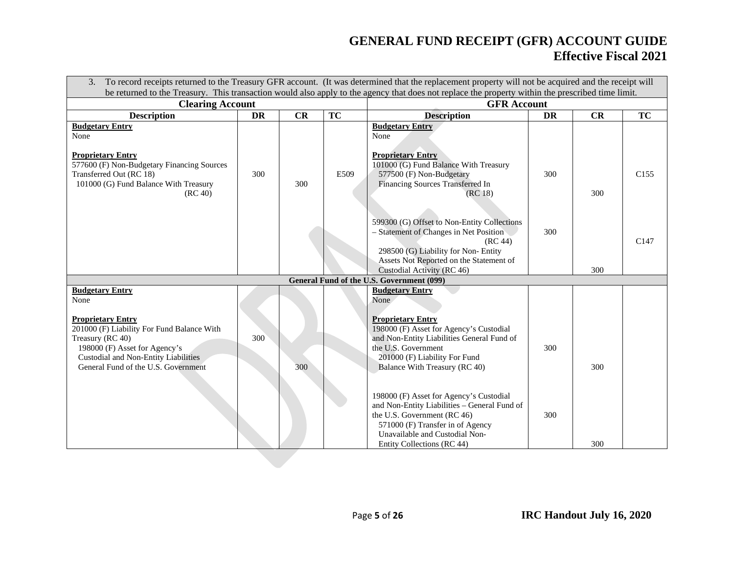| 3.                                                                                                                                                                                                                 |     |     |           | To record receipts returned to the Treasury GFR account. (It was determined that the replacement property will not be acquired and the receipt will<br>be returned to the Treasury. This transaction would also apply to the agency that does not replace the property within the prescribed time limit.                                                                         |            |     |                                      |
|--------------------------------------------------------------------------------------------------------------------------------------------------------------------------------------------------------------------|-----|-----|-----------|----------------------------------------------------------------------------------------------------------------------------------------------------------------------------------------------------------------------------------------------------------------------------------------------------------------------------------------------------------------------------------|------------|-----|--------------------------------------|
| <b>Clearing Account</b>                                                                                                                                                                                            |     |     |           | <b>GFR</b> Account                                                                                                                                                                                                                                                                                                                                                               |            |     |                                      |
| <b>Description</b>                                                                                                                                                                                                 | DR  | CR  | <b>TC</b> | <b>DR</b><br><b>Description</b>                                                                                                                                                                                                                                                                                                                                                  |            | CR  | <b>TC</b>                            |
| <b>Budgetary Entry</b><br>None<br><b>Proprietary Entry</b><br>577600 (F) Non-Budgetary Financing Sources<br>Transferred Out (RC 18)<br>101000 (G) Fund Balance With Treasury<br>(RC 40)                            | 300 | 300 | E509      | <b>Budgetary Entry</b><br>None<br><b>Proprietary Entry</b><br>101000 (G) Fund Balance With Treasury<br>577500 (F) Non-Budgetary<br>Financing Sources Transferred In<br>(RC 18)<br>599300 (G) Offset to Non-Entity Collections<br>- Statement of Changes in Net Position<br>(RC 44)<br>298500 (G) Liability for Non-Entity<br>Assets Not Reported on the Statement of             | 300<br>300 | 300 | C <sub>155</sub><br>C <sub>147</sub> |
|                                                                                                                                                                                                                    |     |     |           | Custodial Activity (RC 46)                                                                                                                                                                                                                                                                                                                                                       |            | 300 |                                      |
| <b>Budgetary Entry</b>                                                                                                                                                                                             |     |     |           | <b>General Fund of the U.S. Government (099)</b><br><b>Budgetary Entry</b>                                                                                                                                                                                                                                                                                                       |            |     |                                      |
| None<br><b>Proprietary Entry</b><br>201000 (F) Liability For Fund Balance With<br>Treasury (RC 40)<br>198000 (F) Asset for Agency's<br>Custodial and Non-Entity Liabilities<br>General Fund of the U.S. Government | 300 | 300 |           | None<br><b>Proprietary Entry</b><br>198000 (F) Asset for Agency's Custodial<br>and Non-Entity Liabilities General Fund of<br>the U.S. Government<br>201000 (F) Liability For Fund<br>Balance With Treasury (RC 40)<br>198000 (F) Asset for Agency's Custodial<br>and Non-Entity Liabilities - General Fund of<br>the U.S. Government (RC 46)<br>571000 (F) Transfer in of Agency | 300<br>300 | 300 |                                      |
|                                                                                                                                                                                                                    |     |     |           | Unavailable and Custodial Non-<br>Entity Collections (RC 44)                                                                                                                                                                                                                                                                                                                     |            | 300 |                                      |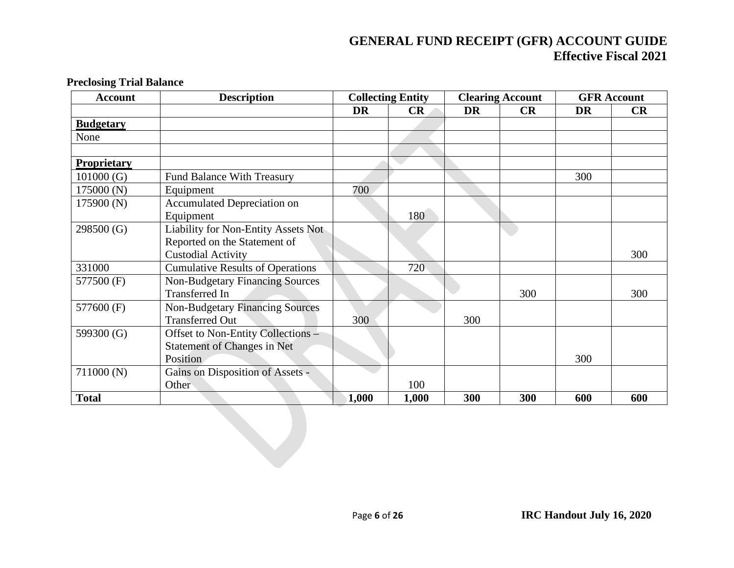| Account            | <b>Description</b>                      |           | <b>Collecting Entity</b> |           | <b>Clearing Account</b> |           | <b>GFR</b> Account |
|--------------------|-----------------------------------------|-----------|--------------------------|-----------|-------------------------|-----------|--------------------|
|                    |                                         | <b>DR</b> | CR                       | <b>DR</b> | CR                      | <b>DR</b> | <b>CR</b>          |
| <b>Budgetary</b>   |                                         |           |                          |           |                         |           |                    |
| None               |                                         |           |                          |           |                         |           |                    |
|                    |                                         |           |                          |           |                         |           |                    |
| <b>Proprietary</b> |                                         |           |                          |           |                         |           |                    |
| 101000(G)          | <b>Fund Balance With Treasury</b>       |           |                          |           |                         | 300       |                    |
| 175000 (N)         | Equipment                               | 700       |                          |           |                         |           |                    |
| 175900(N)          | Accumulated Depreciation on             |           |                          |           |                         |           |                    |
|                    | Equipment                               |           | 180                      |           |                         |           |                    |
| 298500 (G)         | Liability for Non-Entity Assets Not     |           |                          |           |                         |           |                    |
|                    | Reported on the Statement of            |           |                          |           |                         |           |                    |
|                    | <b>Custodial Activity</b>               |           |                          |           |                         |           | 300                |
| 331000             | <b>Cumulative Results of Operations</b> |           | 720                      |           |                         |           |                    |
| 577500 (F)         | <b>Non-Budgetary Financing Sources</b>  |           |                          |           |                         |           |                    |
|                    | <b>Transferred In</b>                   |           |                          |           | 300                     |           | 300                |
| 577600 (F)         | <b>Non-Budgetary Financing Sources</b>  |           |                          |           |                         |           |                    |
|                    | <b>Transferred Out</b>                  | 300       |                          | 300       |                         |           |                    |
| 599300 (G)         | Offset to Non-Entity Collections -      |           |                          |           |                         |           |                    |
|                    | <b>Statement of Changes in Net</b>      |           |                          |           |                         |           |                    |
|                    | Position                                |           |                          |           |                         | 300       |                    |
| 711000(N)          | Gains on Disposition of Assets -        |           |                          |           |                         |           |                    |
|                    | Other                                   |           | 100                      |           |                         |           |                    |
| <b>Total</b>       |                                         | 1,000     | 1,000                    | 300       | 300                     | 600       | 600                |

#### **Preclosing Trial Balance**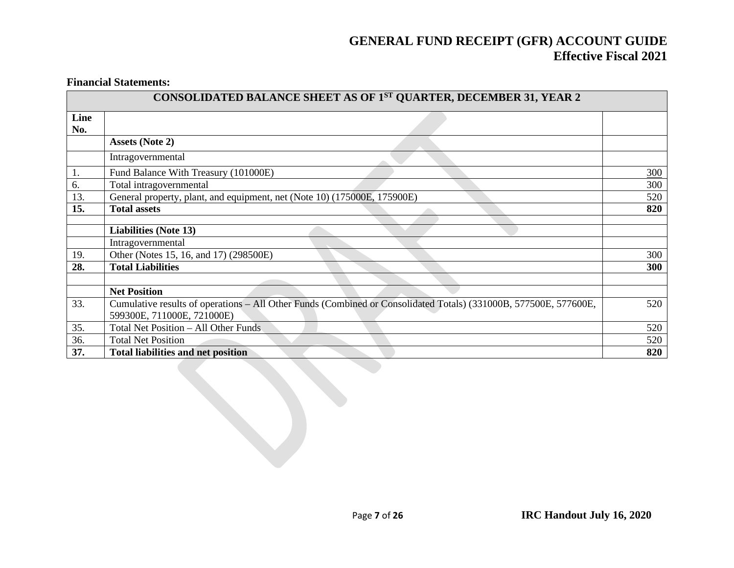### **Financial Statements:**

|             | <b>CONSOLIDATED BALANCE SHEET AS OF 1ST QUARTER, DECEMBER 31, YEAR 2</b>                                                                       |     |
|-------------|------------------------------------------------------------------------------------------------------------------------------------------------|-----|
| Line<br>No. |                                                                                                                                                |     |
|             | <b>Assets (Note 2)</b>                                                                                                                         |     |
|             | Intragovernmental                                                                                                                              |     |
| 1.          | Fund Balance With Treasury (101000E)                                                                                                           | 300 |
| 6.          | Total intragovernmental                                                                                                                        | 300 |
| 13.         | General property, plant, and equipment, net (Note 10) (175000E, 175900E)                                                                       | 520 |
| 15.         | <b>Total assets</b>                                                                                                                            | 820 |
|             |                                                                                                                                                |     |
|             | <b>Liabilities (Note 13)</b>                                                                                                                   |     |
|             | Intragovernmental                                                                                                                              |     |
| 19.         | Other (Notes 15, 16, and 17) (298500E)                                                                                                         | 300 |
| 28.         | <b>Total Liabilities</b>                                                                                                                       | 300 |
|             |                                                                                                                                                |     |
|             | <b>Net Position</b>                                                                                                                            |     |
| 33.         | Cumulative results of operations – All Other Funds (Combined or Consolidated Totals) (331000B, 577500E, 577600E,<br>599300E, 711000E, 721000E) | 520 |
| 35.         | Total Net Position - All Other Funds                                                                                                           | 520 |
| 36.         | <b>Total Net Position</b>                                                                                                                      | 520 |
| 37.         | <b>Total liabilities and net position</b>                                                                                                      | 820 |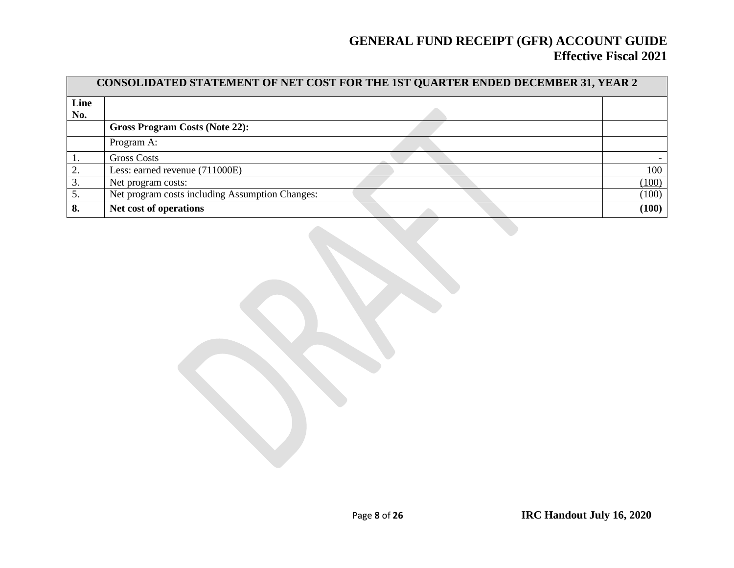|             | CONSOLIDATED STATEMENT OF NET COST FOR THE 1ST QUARTER ENDED DECEMBER 31, YEAR 2 |  |       |  |  |  |  |  |
|-------------|----------------------------------------------------------------------------------|--|-------|--|--|--|--|--|
| Line<br>No. |                                                                                  |  |       |  |  |  |  |  |
|             | <b>Gross Program Costs (Note 22):</b>                                            |  |       |  |  |  |  |  |
|             | Program A:                                                                       |  |       |  |  |  |  |  |
|             | <b>Gross Costs</b>                                                               |  |       |  |  |  |  |  |
|             | Less: earned revenue (711000E)                                                   |  | 100   |  |  |  |  |  |
|             | Net program costs:                                                               |  | (100) |  |  |  |  |  |
| 5.          | Net program costs including Assumption Changes:                                  |  | (100) |  |  |  |  |  |
| 8.          | Net cost of operations                                                           |  | (100) |  |  |  |  |  |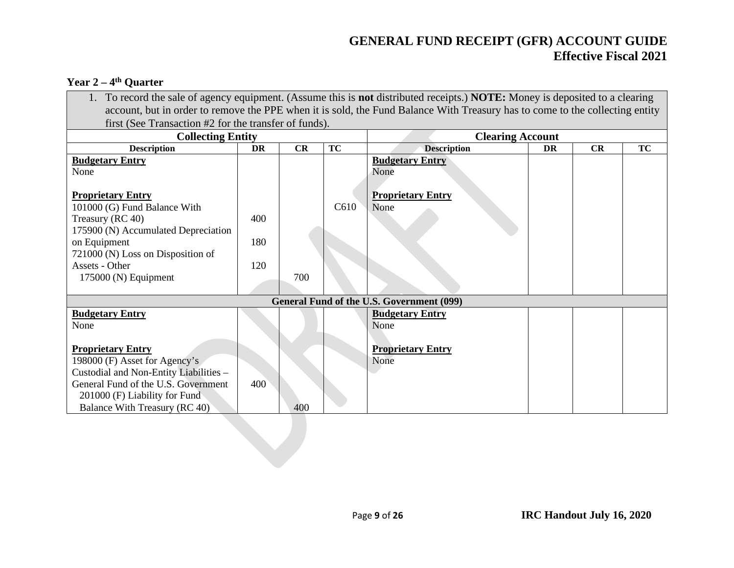### **Year 2 – 4th Quarter**

| 1. To record the sale of agency equipment. (Assume this is <b>not</b> distributed receipts.) <b>NOTE:</b> Money is deposited to a clearing |           |     |           |                                                                                                                              |    |    |           |  |  |
|--------------------------------------------------------------------------------------------------------------------------------------------|-----------|-----|-----------|------------------------------------------------------------------------------------------------------------------------------|----|----|-----------|--|--|
|                                                                                                                                            |           |     |           | account, but in order to remove the PPE when it is sold, the Fund Balance With Treasury has to come to the collecting entity |    |    |           |  |  |
| first (See Transaction #2 for the transfer of funds).                                                                                      |           |     |           |                                                                                                                              |    |    |           |  |  |
| <b>Collecting Entity</b>                                                                                                                   |           |     |           | <b>Clearing Account</b>                                                                                                      |    |    |           |  |  |
| <b>Description</b>                                                                                                                         | <b>DR</b> | CR  | <b>TC</b> | <b>Description</b>                                                                                                           | DR | CR | <b>TC</b> |  |  |
| <b>Budgetary Entry</b>                                                                                                                     |           |     |           | <b>Budgetary Entry</b>                                                                                                       |    |    |           |  |  |
| None                                                                                                                                       |           |     |           | None                                                                                                                         |    |    |           |  |  |
|                                                                                                                                            |           |     |           |                                                                                                                              |    |    |           |  |  |
| <b>Proprietary Entry</b>                                                                                                                   |           |     |           | <b>Proprietary Entry</b>                                                                                                     |    |    |           |  |  |
| 101000 (G) Fund Balance With                                                                                                               |           |     | C610      | None                                                                                                                         |    |    |           |  |  |
| Treasury (RC 40)                                                                                                                           | 400       |     |           |                                                                                                                              |    |    |           |  |  |
| 175900 (N) Accumulated Depreciation                                                                                                        |           |     |           |                                                                                                                              |    |    |           |  |  |
| on Equipment                                                                                                                               | 180       |     |           |                                                                                                                              |    |    |           |  |  |
| 721000 (N) Loss on Disposition of                                                                                                          |           |     |           |                                                                                                                              |    |    |           |  |  |
| Assets - Other                                                                                                                             | 120       |     |           |                                                                                                                              |    |    |           |  |  |
| 175000 (N) Equipment                                                                                                                       |           | 700 |           |                                                                                                                              |    |    |           |  |  |
|                                                                                                                                            |           |     |           | <b>General Fund of the U.S. Government (099)</b>                                                                             |    |    |           |  |  |
| <b>Budgetary Entry</b>                                                                                                                     |           |     |           | <b>Budgetary Entry</b>                                                                                                       |    |    |           |  |  |
| None                                                                                                                                       |           |     |           | None                                                                                                                         |    |    |           |  |  |
|                                                                                                                                            |           |     |           |                                                                                                                              |    |    |           |  |  |
| <b>Proprietary Entry</b>                                                                                                                   |           |     |           | <b>Proprietary Entry</b>                                                                                                     |    |    |           |  |  |
| 198000 (F) Asset for Agency's                                                                                                              |           |     |           | None                                                                                                                         |    |    |           |  |  |
| Custodial and Non-Entity Liabilities -                                                                                                     |           |     |           |                                                                                                                              |    |    |           |  |  |
| General Fund of the U.S. Government                                                                                                        | 400       |     |           |                                                                                                                              |    |    |           |  |  |
| 201000 (F) Liability for Fund                                                                                                              |           |     |           |                                                                                                                              |    |    |           |  |  |
| <b>Balance With Treasury (RC 40)</b>                                                                                                       |           | 400 |           |                                                                                                                              |    |    |           |  |  |
|                                                                                                                                            |           |     |           |                                                                                                                              |    |    |           |  |  |
|                                                                                                                                            |           |     |           |                                                                                                                              |    |    |           |  |  |
|                                                                                                                                            |           |     |           |                                                                                                                              |    |    |           |  |  |
|                                                                                                                                            |           |     |           |                                                                                                                              |    |    |           |  |  |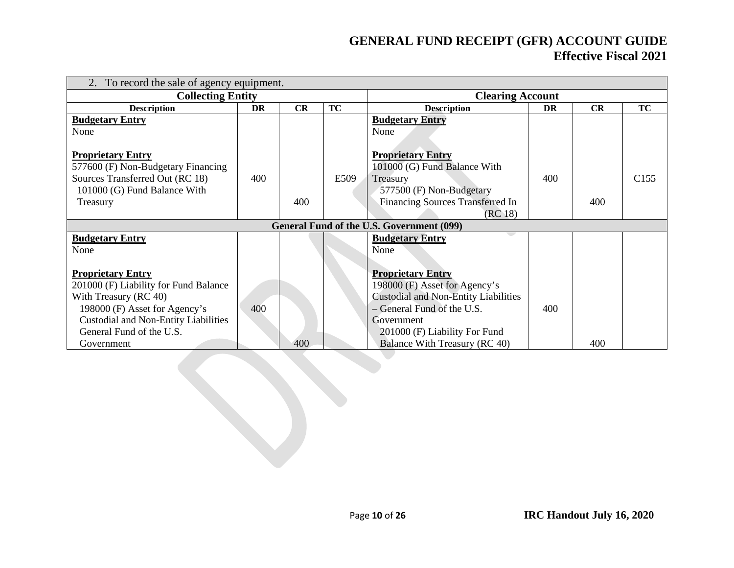| 2. To record the sale of agency equipment.                            |           |     |           |                                             |     |     |           |  |
|-----------------------------------------------------------------------|-----------|-----|-----------|---------------------------------------------|-----|-----|-----------|--|
| <b>Collecting Entity</b>                                              |           |     |           | <b>Clearing Account</b>                     |     |     |           |  |
| <b>Description</b>                                                    | <b>DR</b> | CR  | <b>TC</b> | <b>Description</b>                          | DR  | CR  | <b>TC</b> |  |
| <b>Budgetary Entry</b>                                                |           |     |           | <b>Budgetary Entry</b>                      |     |     |           |  |
| None                                                                  |           |     |           | None                                        |     |     |           |  |
|                                                                       |           |     |           |                                             |     |     |           |  |
| <b>Proprietary Entry</b>                                              |           |     |           | <b>Proprietary Entry</b>                    |     |     |           |  |
| 577600 (F) Non-Budgetary Financing<br>Sources Transferred Out (RC 18) | 400       |     | E509      | 101000 (G) Fund Balance With                | 400 |     | C155      |  |
| 101000 (G) Fund Balance With                                          |           |     |           | Treasury<br>577500 (F) Non-Budgetary        |     |     |           |  |
| Treasury                                                              |           | 400 |           | Financing Sources Transferred In            |     | 400 |           |  |
|                                                                       |           |     |           | (RC 18)                                     |     |     |           |  |
|                                                                       |           |     |           | General Fund of the U.S. Government (099)   |     |     |           |  |
| <b>Budgetary Entry</b>                                                |           |     |           | <b>Budgetary Entry</b>                      |     |     |           |  |
| None                                                                  |           |     |           | None                                        |     |     |           |  |
|                                                                       |           |     |           |                                             |     |     |           |  |
| <b>Proprietary Entry</b>                                              |           |     |           | <b>Proprietary Entry</b>                    |     |     |           |  |
| 201000 (F) Liability for Fund Balance                                 |           |     |           | 198000 (F) Asset for Agency's               |     |     |           |  |
| With Treasury (RC 40)                                                 |           |     |           | <b>Custodial and Non-Entity Liabilities</b> |     |     |           |  |
| 198000 (F) Asset for Agency's                                         | 400       |     |           | - General Fund of the U.S.                  | 400 |     |           |  |
| <b>Custodial and Non-Entity Liabilities</b>                           |           |     |           | Government                                  |     |     |           |  |
| General Fund of the U.S.                                              |           |     |           | 201000 (F) Liability For Fund               |     |     |           |  |
| Government                                                            |           | 400 |           | Balance With Treasury (RC 40)               |     | 400 |           |  |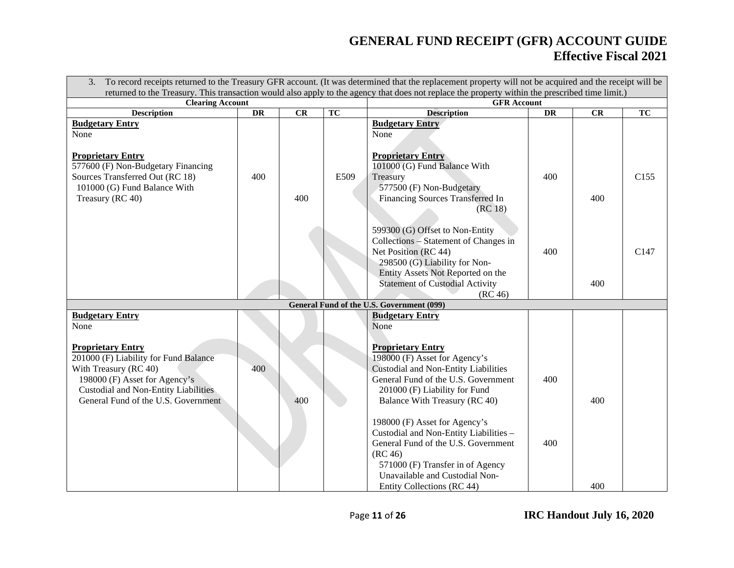|                                                                                                                                                                                                                   |     |     |           | 3. To record receipts returned to the Treasury GFR account. (It was determined that the replacement property will not be acquired and the receipt will be                                                                     |                 |     |                  |
|-------------------------------------------------------------------------------------------------------------------------------------------------------------------------------------------------------------------|-----|-----|-----------|-------------------------------------------------------------------------------------------------------------------------------------------------------------------------------------------------------------------------------|-----------------|-----|------------------|
|                                                                                                                                                                                                                   |     |     |           | returned to the Treasury. This transaction would also apply to the agency that does not replace the property within the prescribed time limit.)                                                                               |                 |     |                  |
| <b>Clearing Account</b>                                                                                                                                                                                           |     |     |           | <b>GFR</b> Account                                                                                                                                                                                                            |                 |     |                  |
| <b>Description</b>                                                                                                                                                                                                | DR  | CR  | <b>TC</b> | <b>Description</b>                                                                                                                                                                                                            | $\overline{DR}$ | CR  | $\overline{TC}$  |
| <b>Budgetary Entry</b><br>None                                                                                                                                                                                    |     |     |           | <b>Budgetary Entry</b><br>None                                                                                                                                                                                                |                 |     |                  |
| <b>Proprietary Entry</b><br>577600 (F) Non-Budgetary Financing<br>Sources Transferred Out (RC 18)<br>101000 (G) Fund Balance With<br>Treasury (RC 40)                                                             | 400 | 400 | E509      | <b>Proprietary Entry</b><br>101000 (G) Fund Balance With<br>Treasury<br>577500 (F) Non-Budgetary<br>Financing Sources Transferred In<br>(RC 18)                                                                               | 400             | 400 | C <sub>155</sub> |
|                                                                                                                                                                                                                   |     |     |           | 599300 (G) Offset to Non-Entity<br>Collections - Statement of Changes in<br>Net Position (RC 44)<br>298500 (G) Liability for Non-<br>Entity Assets Not Reported on the<br><b>Statement of Custodial Activity</b>              | 400             | 400 | C147             |
|                                                                                                                                                                                                                   |     |     |           | (RC 46)                                                                                                                                                                                                                       |                 |     |                  |
|                                                                                                                                                                                                                   |     |     |           | <b>General Fund of the U.S. Government (099)</b>                                                                                                                                                                              |                 |     |                  |
| <b>Budgetary Entry</b><br>None                                                                                                                                                                                    |     |     |           | <b>Budgetary Entry</b><br>None                                                                                                                                                                                                |                 |     |                  |
| <b>Proprietary Entry</b><br>201000 (F) Liability for Fund Balance<br>With Treasury (RC 40)<br>198000 (F) Asset for Agency's<br><b>Custodial and Non-Entity Liabilities</b><br>General Fund of the U.S. Government | 400 | 400 |           | <b>Proprietary Entry</b><br>198000 (F) Asset for Agency's<br>Custodial and Non-Entity Liabilities<br>General Fund of the U.S. Government<br>201000 (F) Liability for Fund<br>Balance With Treasury (RC 40)                    | 400             | 400 |                  |
|                                                                                                                                                                                                                   |     |     |           | 198000 (F) Asset for Agency's<br>Custodial and Non-Entity Liabilities -<br>General Fund of the U.S. Government<br>(RC 46)<br>571000 (F) Transfer in of Agency<br>Unavailable and Custodial Non-<br>Entity Collections (RC 44) | 400             | 400 |                  |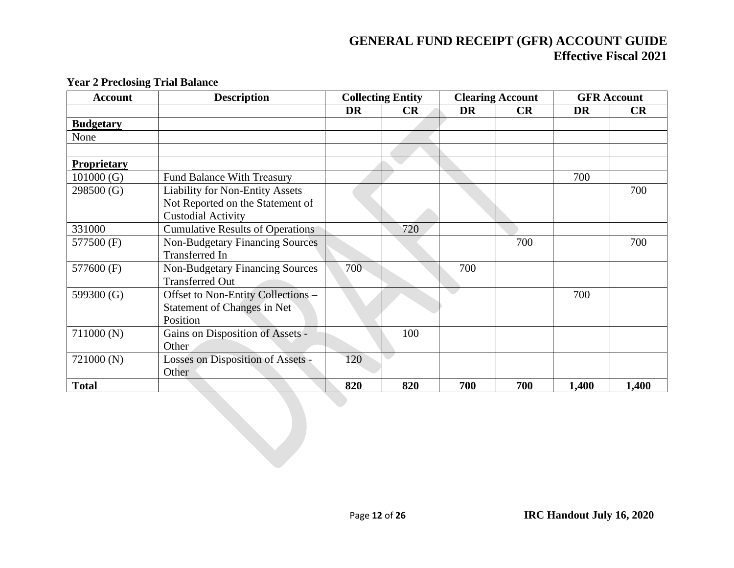| <b>Account</b>     | <b>Description</b>                      |                  | <b>Collecting Entity</b> |           | <b>Clearing Account</b> |           | <b>GFR</b> Account |
|--------------------|-----------------------------------------|------------------|--------------------------|-----------|-------------------------|-----------|--------------------|
|                    |                                         | <b>DR</b>        | CR                       | <b>DR</b> | CR                      | <b>DR</b> | <b>CR</b>          |
| <b>Budgetary</b>   |                                         |                  |                          |           |                         |           |                    |
| None               |                                         |                  |                          |           |                         |           |                    |
|                    |                                         |                  |                          |           |                         |           |                    |
| <b>Proprietary</b> |                                         |                  |                          |           |                         |           |                    |
| 101000(G)          | <b>Fund Balance With Treasury</b>       |                  |                          |           |                         | 700       |                    |
| 298500 (G)         | <b>Liability for Non-Entity Assets</b>  |                  |                          |           |                         |           | 700                |
|                    | Not Reported on the Statement of        |                  |                          |           |                         |           |                    |
|                    | <b>Custodial Activity</b>               |                  |                          |           |                         |           |                    |
| 331000             | <b>Cumulative Results of Operations</b> |                  | 720                      |           |                         |           |                    |
| 577500 (F)         | <b>Non-Budgetary Financing Sources</b>  |                  |                          |           | 700                     |           | 700                |
|                    | <b>Transferred In</b>                   |                  |                          |           |                         |           |                    |
| 577600 (F)         | <b>Non-Budgetary Financing Sources</b>  | 700 <sub>1</sub> |                          | 700       |                         |           |                    |
|                    | <b>Transferred Out</b>                  |                  |                          |           |                         |           |                    |
| 599300 (G)         | Offset to Non-Entity Collections –      |                  |                          |           |                         | 700       |                    |
|                    | <b>Statement of Changes in Net</b>      |                  |                          |           |                         |           |                    |
|                    | Position                                |                  |                          |           |                         |           |                    |
| 711000 (N)         | Gains on Disposition of Assets -        |                  | 100                      |           |                         |           |                    |
|                    | Other                                   |                  |                          |           |                         |           |                    |
| 721000 (N)         | Losses on Disposition of Assets -       | 120              | e i                      |           |                         |           |                    |
|                    | Other                                   |                  |                          |           |                         |           |                    |
| <b>Total</b>       |                                         | 820              | 820                      | 700       | 700                     | 1,400     | 1,400              |

### **Year 2 Preclosing Trial Balance**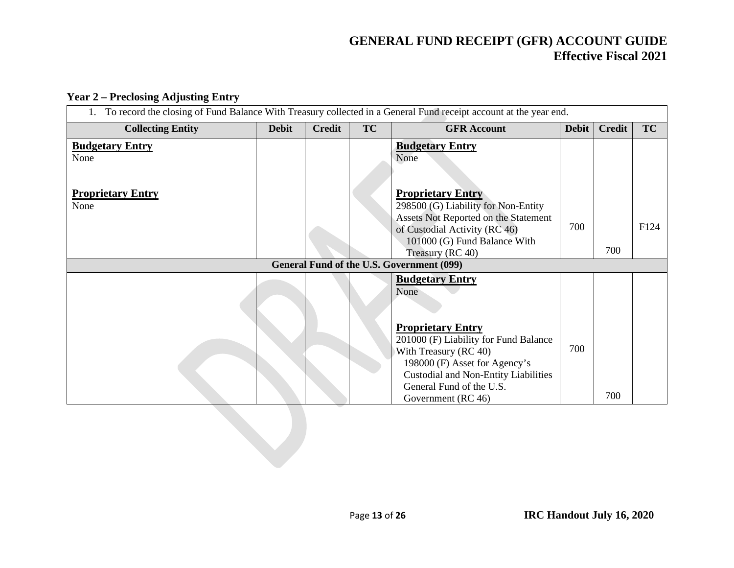#### **Year 2 – Preclosing Adjusting Entry**

| To record the closing of Fund Balance With Treasury collected in a General Fund receipt account at the year end. |              |               |    |                                                                   |              |               |      |  |  |
|------------------------------------------------------------------------------------------------------------------|--------------|---------------|----|-------------------------------------------------------------------|--------------|---------------|------|--|--|
| <b>Collecting Entity</b>                                                                                         | <b>Debit</b> | <b>Credit</b> | TC | <b>GFR Account</b>                                                | <b>Debit</b> | <b>Credit</b> | TC   |  |  |
| <b>Budgetary Entry</b>                                                                                           |              |               |    | <b>Budgetary Entry</b>                                            |              |               |      |  |  |
| None                                                                                                             |              |               |    | None                                                              |              |               |      |  |  |
|                                                                                                                  |              |               |    |                                                                   |              |               |      |  |  |
| <b>Proprietary Entry</b>                                                                                         |              |               |    | <b>Proprietary Entry</b>                                          |              |               |      |  |  |
| None                                                                                                             |              |               |    | 298500 (G) Liability for Non-Entity                               |              |               |      |  |  |
|                                                                                                                  |              |               |    | Assets Not Reported on the Statement                              |              |               |      |  |  |
|                                                                                                                  |              |               |    | of Custodial Activity (RC 46)                                     | 700          |               | F124 |  |  |
|                                                                                                                  |              |               |    | 101000 (G) Fund Balance With                                      |              | 700           |      |  |  |
|                                                                                                                  |              |               |    | Treasury (RC 40)                                                  |              |               |      |  |  |
|                                                                                                                  |              |               |    | General Fund of the U.S. Government (099)                         |              |               |      |  |  |
|                                                                                                                  |              |               |    | <b>Budgetary Entry</b>                                            |              |               |      |  |  |
|                                                                                                                  |              |               |    | None                                                              |              |               |      |  |  |
|                                                                                                                  |              |               |    |                                                                   |              |               |      |  |  |
|                                                                                                                  |              |               |    |                                                                   |              |               |      |  |  |
|                                                                                                                  |              |               |    | <b>Proprietary Entry</b><br>201000 (F) Liability for Fund Balance |              |               |      |  |  |
|                                                                                                                  |              |               |    | With Treasury (RC 40)                                             | 700          |               |      |  |  |
|                                                                                                                  |              |               |    | 198000 (F) Asset for Agency's                                     |              |               |      |  |  |
|                                                                                                                  |              |               |    | Custodial and Non-Entity Liabilities                              |              |               |      |  |  |
|                                                                                                                  |              |               |    | General Fund of the U.S.                                          |              |               |      |  |  |
|                                                                                                                  |              |               |    | Government (RC 46)                                                |              | 700           |      |  |  |
|                                                                                                                  |              |               |    |                                                                   |              |               |      |  |  |
|                                                                                                                  |              |               |    |                                                                   |              |               |      |  |  |
|                                                                                                                  |              |               |    |                                                                   |              |               |      |  |  |
|                                                                                                                  |              |               |    |                                                                   |              |               |      |  |  |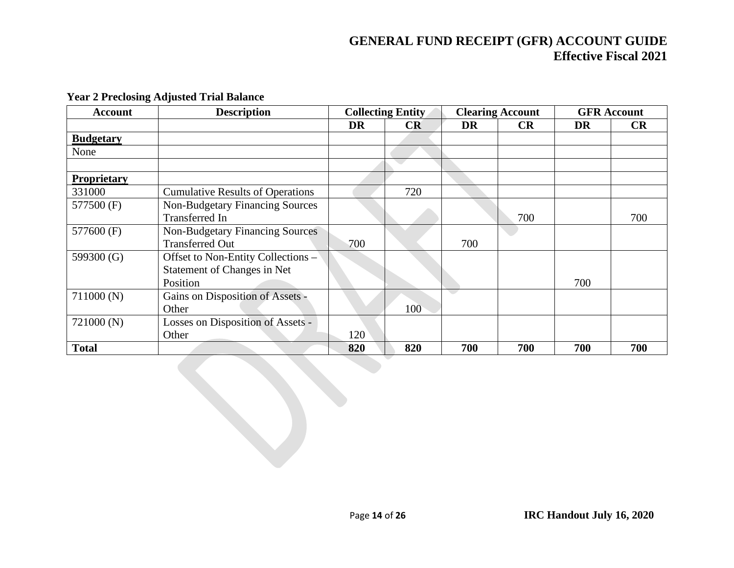| <b>Account</b>     | <b>Description</b>                      |           | <b>Collecting Entity</b> |     | <b>Clearing Account</b> |     | <b>GFR</b> Account |
|--------------------|-----------------------------------------|-----------|--------------------------|-----|-------------------------|-----|--------------------|
|                    |                                         | <b>DR</b> | CR                       | DR  | <b>CR</b>               | DR  | CR                 |
| <b>Budgetary</b>   |                                         |           |                          |     |                         |     |                    |
| None               |                                         |           |                          |     |                         |     |                    |
|                    |                                         |           |                          |     |                         |     |                    |
| <b>Proprietary</b> |                                         |           |                          |     |                         |     |                    |
| 331000             | <b>Cumulative Results of Operations</b> |           | 720                      |     |                         |     |                    |
| 577500 (F)         | <b>Non-Budgetary Financing Sources</b>  |           |                          |     |                         |     |                    |
|                    | <b>Transferred In</b>                   |           |                          |     | 700                     |     | 700                |
| 577600 (F)         | <b>Non-Budgetary Financing Sources</b>  |           |                          |     |                         |     |                    |
|                    | <b>Transferred Out</b>                  | 700       |                          | 700 |                         |     |                    |
| 599300 (G)         | Offset to Non-Entity Collections -      |           |                          |     |                         |     |                    |
|                    | Statement of Changes in Net             |           |                          |     |                         |     |                    |
|                    | Position                                |           |                          |     |                         | 700 |                    |
| 711000 (N)         | Gains on Disposition of Assets -        |           |                          |     |                         |     |                    |
|                    | Other                                   |           | 100                      |     |                         |     |                    |
| 721000 (N)         | Losses on Disposition of Assets -       |           |                          |     |                         |     |                    |
|                    | Other                                   | 120       |                          |     |                         |     |                    |
| <b>Total</b>       |                                         | 820       | 820                      | 700 | 700                     | 700 | 700                |

### **Year 2 Preclosing Adjusted Trial Balance**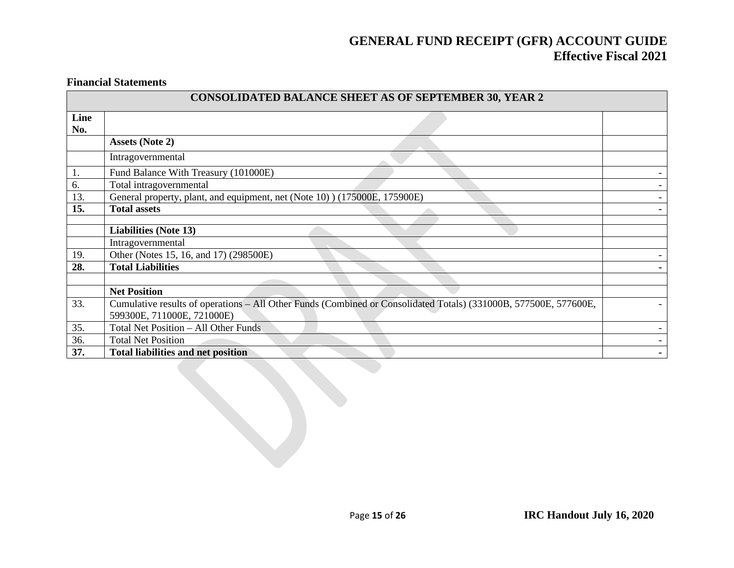#### **Financial Statements**

|             | <b>CONSOLIDATED BALANCE SHEET AS OF SEPTEMBER 30, YEAR 2</b>                                                                                   |     |
|-------------|------------------------------------------------------------------------------------------------------------------------------------------------|-----|
| Line<br>No. |                                                                                                                                                |     |
|             | <b>Assets (Note 2)</b>                                                                                                                         |     |
|             | Intragovernmental                                                                                                                              |     |
| 1.          | Fund Balance With Treasury (101000E)                                                                                                           |     |
| 6.          | Total intragovernmental                                                                                                                        |     |
| 13.         | General property, plant, and equipment, net (Note 10)) (175000E, 175900E)                                                                      | $-$ |
| 15.         | <b>Total assets</b>                                                                                                                            |     |
|             |                                                                                                                                                |     |
|             | <b>Liabilities (Note 13)</b>                                                                                                                   |     |
|             | Intragovernmental                                                                                                                              |     |
| 19.         | Other (Notes 15, 16, and 17) (298500E)                                                                                                         |     |
| 28.         | <b>Total Liabilities</b>                                                                                                                       |     |
|             |                                                                                                                                                |     |
|             | <b>Net Position</b>                                                                                                                            |     |
| 33.         | Cumulative results of operations – All Other Funds (Combined or Consolidated Totals) (331000B, 577500E, 577600E,<br>599300E, 711000E, 721000E) |     |
| 35.         | Total Net Position - All Other Funds                                                                                                           |     |
| 36.         | <b>Total Net Position</b>                                                                                                                      |     |
| 37.         | <b>Total liabilities and net position</b>                                                                                                      | ۰.  |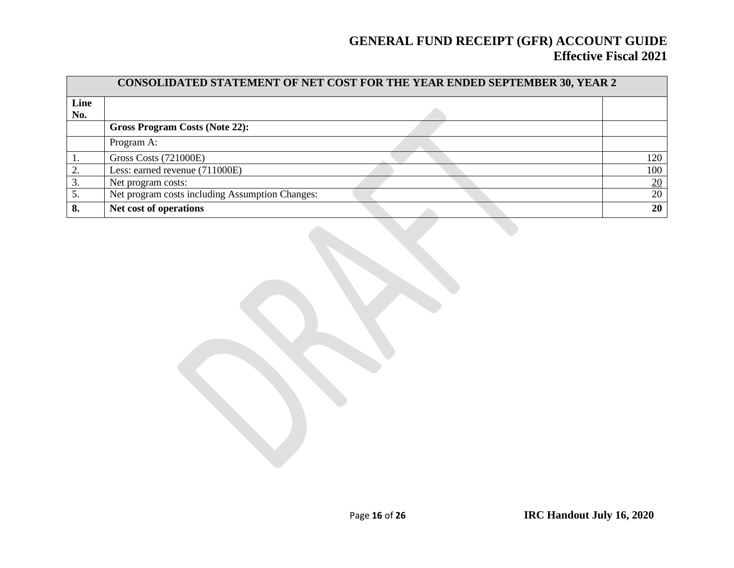|             | CONSOLIDATED STATEMENT OF NET COST FOR THE YEAR ENDED SEPTEMBER 30, YEAR 2 |                  |  |  |  |  |  |
|-------------|----------------------------------------------------------------------------|------------------|--|--|--|--|--|
| Line<br>No. |                                                                            |                  |  |  |  |  |  |
|             | <b>Gross Program Costs (Note 22):</b>                                      |                  |  |  |  |  |  |
|             | Program A:                                                                 |                  |  |  |  |  |  |
|             | Gross Costs (721000E)                                                      | 120              |  |  |  |  |  |
|             | Less: earned revenue (711000E)                                             | 100              |  |  |  |  |  |
|             | Net program costs:                                                         | $\underline{20}$ |  |  |  |  |  |
| 5.          | Net program costs including Assumption Changes:                            | 20               |  |  |  |  |  |
| 8.          | Net cost of operations                                                     | 20               |  |  |  |  |  |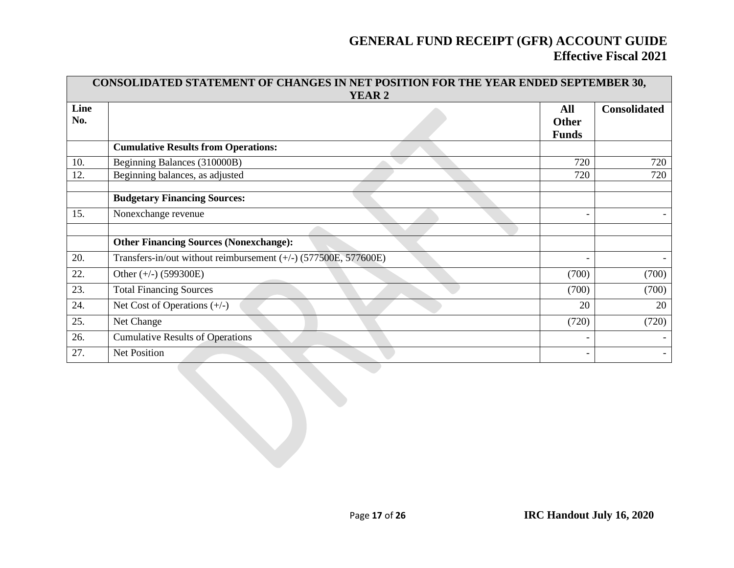|             | CONSOLIDATED STATEMENT OF CHANGES IN NET POSITION FOR THE YEAR ENDED SEPTEMBER 30,<br><b>YEAR 2</b> |                                     |                     |  |  |  |
|-------------|-----------------------------------------------------------------------------------------------------|-------------------------------------|---------------------|--|--|--|
| Line<br>No. |                                                                                                     | All<br><b>Other</b><br><b>Funds</b> | <b>Consolidated</b> |  |  |  |
|             | <b>Cumulative Results from Operations:</b>                                                          |                                     |                     |  |  |  |
| 10.         | Beginning Balances (310000B)                                                                        | 720                                 | 720                 |  |  |  |
| 12.         | Beginning balances, as adjusted                                                                     | 720                                 | 720                 |  |  |  |
|             | <b>Budgetary Financing Sources:</b>                                                                 |                                     |                     |  |  |  |
| 15.         | Nonexchange revenue                                                                                 |                                     |                     |  |  |  |
|             |                                                                                                     |                                     |                     |  |  |  |
|             | <b>Other Financing Sources (Nonexchange):</b>                                                       |                                     |                     |  |  |  |
| 20.         | Transfers-in/out without reimbursement (+/-) (577500E, 577600E)                                     |                                     | $ \,$               |  |  |  |
| 22.         | Other $(+/-)$ (599300E)                                                                             | (700)                               | (700)               |  |  |  |
| 23.         | <b>Total Financing Sources</b>                                                                      | (700)                               | (700)               |  |  |  |
| 24.         | Net Cost of Operations $(+/-)$                                                                      | 20                                  | 20                  |  |  |  |
| 25.         | Net Change                                                                                          | (720)                               | (720)               |  |  |  |
| 26.         | <b>Cumulative Results of Operations</b>                                                             | $\overline{\phantom{a}}$            |                     |  |  |  |
| 27.         | <b>Net Position</b>                                                                                 |                                     | $-$                 |  |  |  |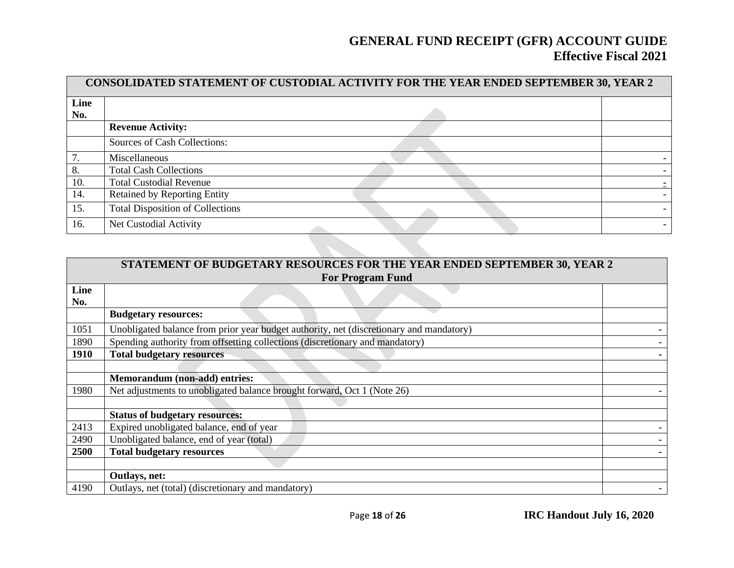| Line<br>No. |                                         |  |
|-------------|-----------------------------------------|--|
|             | <b>Revenue Activity:</b>                |  |
|             | Sources of Cash Collections:            |  |
|             | Miscellaneous                           |  |
| 8.          | <b>Total Cash Collections</b>           |  |
| 10.         | <b>Total Custodial Revenue</b>          |  |
| 14.         | <b>Retained by Reporting Entity</b>     |  |
| 15.         | <b>Total Disposition of Collections</b> |  |
| 16.         | Net Custodial Activity                  |  |

| STATEMENT OF BUDGETARY RESOURCES FOR THE YEAR ENDED SEPTEMBER 30, YEAR 2 |                                                                                         |                          |  |  |  |
|--------------------------------------------------------------------------|-----------------------------------------------------------------------------------------|--------------------------|--|--|--|
|                                                                          | <b>For Program Fund</b>                                                                 |                          |  |  |  |
| Line                                                                     |                                                                                         |                          |  |  |  |
| No.                                                                      |                                                                                         |                          |  |  |  |
|                                                                          | <b>Budgetary resources:</b>                                                             |                          |  |  |  |
| 1051                                                                     | Unobligated balance from prior year budget authority, net (discretionary and mandatory) |                          |  |  |  |
| 1890                                                                     | Spending authority from offsetting collections (discretionary and mandatory)            |                          |  |  |  |
| 1910                                                                     | <b>Total budgetary resources</b>                                                        |                          |  |  |  |
|                                                                          |                                                                                         |                          |  |  |  |
|                                                                          | <b>Memorandum</b> (non-add) entries:                                                    |                          |  |  |  |
| 1980                                                                     | Net adjustments to unobligated balance brought forward, Oct 1 (Note 26)                 |                          |  |  |  |
|                                                                          |                                                                                         |                          |  |  |  |
|                                                                          | <b>Status of budgetary resources:</b>                                                   |                          |  |  |  |
| 2413                                                                     | Expired unobligated balance, end of year                                                |                          |  |  |  |
| 2490                                                                     | Unobligated balance, end of year (total)                                                | $\overline{\phantom{0}}$ |  |  |  |
| 2500                                                                     | <b>Total budgetary resources</b>                                                        |                          |  |  |  |
|                                                                          |                                                                                         |                          |  |  |  |
|                                                                          | Outlays, net:                                                                           |                          |  |  |  |
| 4190                                                                     | Outlays, net (total) (discretionary and mandatory)                                      |                          |  |  |  |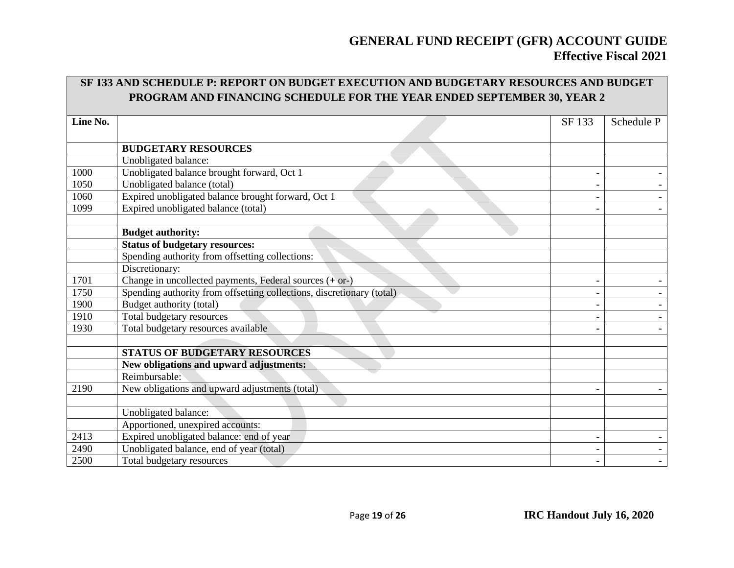### **SF 133 AND SCHEDULE P: REPORT ON BUDGET EXECUTION AND BUDGETARY RESOURCES AND BUDGET PROGRAM AND FINANCING SCHEDULE FOR THE YEAR ENDED SEPTEMBER 30, YEAR 2**

| Line No. |                                                                       | SF 133                   | Schedule P |
|----------|-----------------------------------------------------------------------|--------------------------|------------|
|          |                                                                       |                          |            |
|          | <b>BUDGETARY RESOURCES</b>                                            |                          |            |
|          | Unobligated balance:                                                  |                          |            |
| 1000     | Unobligated balance brought forward, Oct 1                            | $\overline{\phantom{a}}$ |            |
| 1050     | Unobligated balance (total)                                           |                          |            |
| 1060     | Expired unobligated balance brought forward, Oct 1                    | $\overline{\phantom{a}}$ |            |
| 1099     | Expired unobligated balance (total)                                   |                          |            |
|          |                                                                       |                          |            |
|          | <b>Budget authority:</b>                                              |                          |            |
|          | <b>Status of budgetary resources:</b>                                 |                          |            |
|          | Spending authority from offsetting collections:                       |                          |            |
|          | Discretionary:                                                        |                          |            |
| 1701     | Change in uncollected payments, Federal sources (+ or-)               |                          |            |
| 1750     | Spending authority from offsetting collections, discretionary (total) | $\overline{\phantom{a}}$ |            |
| 1900     | Budget authority (total)                                              | $\overline{\phantom{a}}$ |            |
| 1910     | Total budgetary resources                                             | $\overline{\phantom{a}}$ |            |
| 1930     | Total budgetary resources available                                   | ۰                        |            |
|          |                                                                       |                          |            |
|          | <b>STATUS OF BUDGETARY RESOURCES</b>                                  |                          |            |
|          | New obligations and upward adjustments:                               |                          |            |
|          | Reimbursable:                                                         |                          |            |
| 2190     | New obligations and upward adjustments (total)                        | $\qquad \qquad -$        |            |
|          |                                                                       |                          |            |
|          | Unobligated balance:                                                  |                          |            |
|          | Apportioned, unexpired accounts:                                      |                          |            |
| 2413     | Expired unobligated balance: end of year                              | $\overline{\phantom{a}}$ |            |
| 2490     | Unobligated balance, end of year (total)                              |                          |            |
| 2500     | Total budgetary resources                                             |                          |            |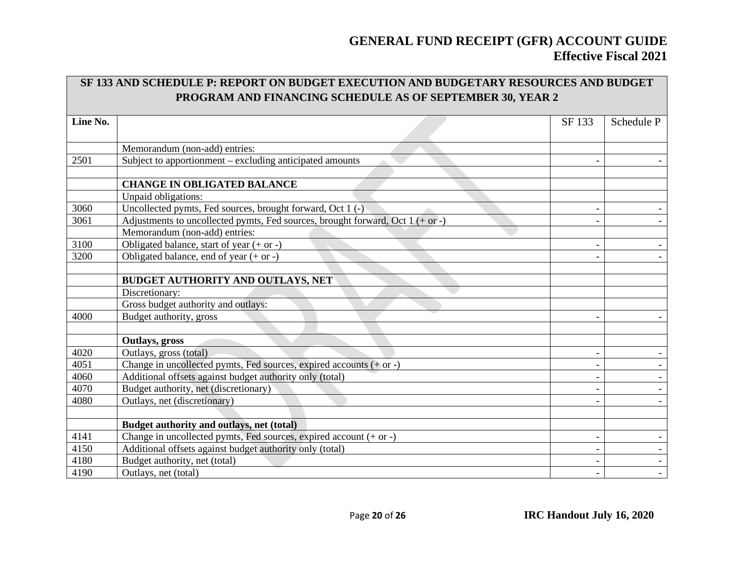### **SF 133 AND SCHEDULE P: REPORT ON BUDGET EXECUTION AND BUDGETARY RESOURCES AND BUDGET PROGRAM AND FINANCING SCHEDULE AS OF SEPTEMBER 30, YEAR 2**

| Line No. |                                                                                  | SF 133                   | Schedule P |
|----------|----------------------------------------------------------------------------------|--------------------------|------------|
|          |                                                                                  |                          |            |
|          | Memorandum (non-add) entries:                                                    |                          |            |
| 2501     | Subject to apportionment – excluding anticipated amounts                         |                          |            |
|          |                                                                                  |                          |            |
|          | <b>CHANGE IN OBLIGATED BALANCE</b>                                               |                          |            |
|          | Unpaid obligations:                                                              |                          |            |
| 3060     | Uncollected pymts, Fed sources, brought forward, Oct 1 (-)                       | $\overline{\phantom{0}}$ |            |
| 3061     | Adjustments to uncollected pymts, Fed sources, brought forward, Oct $1 (+ or -)$ |                          |            |
|          | Memorandum (non-add) entries:                                                    |                          |            |
| 3100     | Obligated balance, start of year $(+ or -)$                                      |                          |            |
| 3200     | Obligated balance, end of year $(+ or -)$                                        |                          |            |
|          |                                                                                  |                          |            |
|          | <b>BUDGET AUTHORITY AND OUTLAYS, NET</b>                                         |                          |            |
|          | Discretionary:                                                                   |                          |            |
|          | Gross budget authority and outlays:                                              |                          |            |
| 4000     | Budget authority, gross                                                          |                          |            |
|          |                                                                                  |                          |            |
|          | Outlays, gross                                                                   |                          |            |
| 4020     | Outlays, gross (total)                                                           |                          |            |
| 4051     | Change in uncollected pymts, Fed sources, expired accounts (+ or -)              | $\overline{\phantom{a}}$ |            |
| 4060     | Additional offsets against budget authority only (total)                         | $\overline{\phantom{a}}$ |            |
| 4070     | Budget authority, net (discretionary)                                            |                          |            |
| 4080     | Outlays, net (discretionary)                                                     |                          |            |
|          |                                                                                  |                          |            |
|          | Budget authority and outlays, net (total)                                        |                          |            |
| 4141     | Change in uncollected pymts, Fed sources, expired account $(+ or -)$             | $\overline{\phantom{a}}$ |            |
| 4150     | Additional offsets against budget authority only (total)                         | $\overline{\phantom{a}}$ |            |
| 4180     | Budget authority, net (total)                                                    |                          |            |
| 4190     | Outlays, net (total)                                                             |                          |            |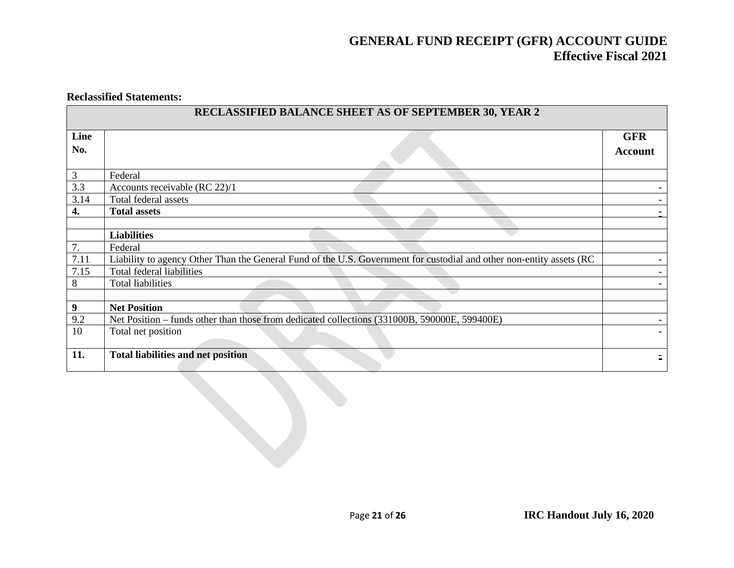#### **Reclassified Statements:**

| RECLASSIFIED BALANCE SHEET AS OF SEPTEMBER 30, YEAR 2 |                                                                                                                      |                |  |  |
|-------------------------------------------------------|----------------------------------------------------------------------------------------------------------------------|----------------|--|--|
| Line                                                  |                                                                                                                      | <b>GFR</b>     |  |  |
| No.                                                   |                                                                                                                      | <b>Account</b> |  |  |
| 3                                                     | Federal                                                                                                              |                |  |  |
| 3.3                                                   | Accounts receivable (RC 22)/1                                                                                        |                |  |  |
| 3.14                                                  | Total federal assets                                                                                                 |                |  |  |
| 4.                                                    | <b>Total assets</b>                                                                                                  |                |  |  |
|                                                       |                                                                                                                      |                |  |  |
|                                                       | <b>Liabilities</b>                                                                                                   |                |  |  |
| 7.                                                    | Federal                                                                                                              |                |  |  |
| 7.11                                                  | Liability to agency Other Than the General Fund of the U.S. Government for custodial and other non-entity assets (RC |                |  |  |
| 7.15                                                  | Total federal liabilities                                                                                            |                |  |  |
| 8                                                     | <b>Total liabilities</b>                                                                                             |                |  |  |
|                                                       |                                                                                                                      |                |  |  |
| 9                                                     | <b>Net Position</b>                                                                                                  |                |  |  |
| 9.2                                                   | Net Position – funds other than those from dedicated collections (331000B, 590000E, 599400E)                         |                |  |  |
| 10                                                    | Total net position                                                                                                   |                |  |  |
|                                                       |                                                                                                                      |                |  |  |
| 11.                                                   | <b>Total liabilities and net position</b>                                                                            |                |  |  |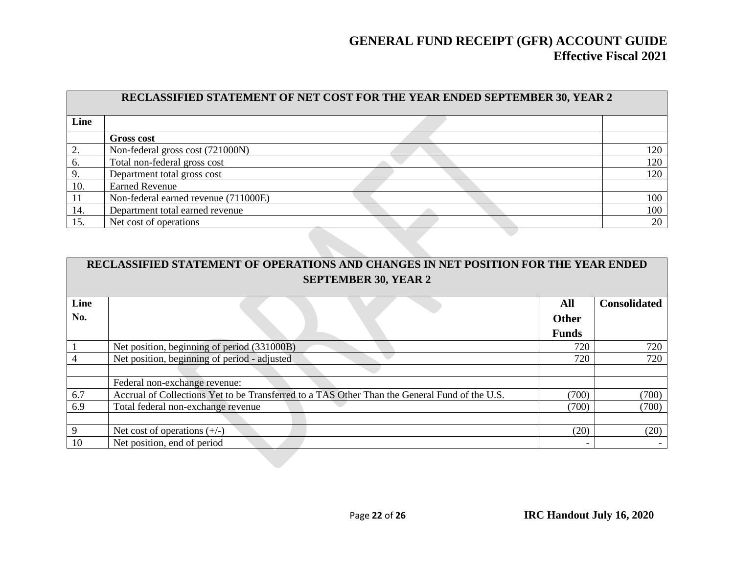| RECLASSIFIED STATEMENT OF NET COST FOR THE YEAR ENDED SEPTEMBER 30, YEAR 2 |                                      |     |  |  |  |  |
|----------------------------------------------------------------------------|--------------------------------------|-----|--|--|--|--|
| Line                                                                       |                                      |     |  |  |  |  |
|                                                                            | Gross cost                           |     |  |  |  |  |
| 2.                                                                         | Non-federal gross cost (721000N)     | 120 |  |  |  |  |
| 6.                                                                         | Total non-federal gross cost         | 120 |  |  |  |  |
| 9.                                                                         | Department total gross cost          | 120 |  |  |  |  |
| 10.                                                                        | <b>Earned Revenue</b>                |     |  |  |  |  |
| 11                                                                         | Non-federal earned revenue (711000E) | 100 |  |  |  |  |
| 14.                                                                        | Department total earned revenue      | 100 |  |  |  |  |
| 15.                                                                        | Net cost of operations               | 20  |  |  |  |  |
|                                                                            |                                      |     |  |  |  |  |

| RECLASSIFIED STATEMENT OF OPERATIONS AND CHANGES IN NET POSITION FOR THE YEAR ENDED<br><b>SEPTEMBER 30, YEAR 2</b> |                                                                                               |              |                     |  |  |  |
|--------------------------------------------------------------------------------------------------------------------|-----------------------------------------------------------------------------------------------|--------------|---------------------|--|--|--|
| Line                                                                                                               |                                                                                               | All          | <b>Consolidated</b> |  |  |  |
| No.                                                                                                                |                                                                                               | <b>Other</b> |                     |  |  |  |
|                                                                                                                    |                                                                                               | <b>Funds</b> |                     |  |  |  |
|                                                                                                                    | Net position, beginning of period (331000B)                                                   | 720          | 720                 |  |  |  |
|                                                                                                                    | Net position, beginning of period - adjusted                                                  | 720          | 720                 |  |  |  |
|                                                                                                                    |                                                                                               |              |                     |  |  |  |
|                                                                                                                    | Federal non-exchange revenue:                                                                 |              |                     |  |  |  |
| 6.7                                                                                                                | Accrual of Collections Yet to be Transferred to a TAS Other Than the General Fund of the U.S. | (700)        | (700)               |  |  |  |
| 6.9                                                                                                                | Total federal non-exchange revenue                                                            | (700)        | (700)               |  |  |  |
|                                                                                                                    |                                                                                               |              |                     |  |  |  |
| 9                                                                                                                  | Net cost of operations $(+/-)$                                                                | (20)         | (20)                |  |  |  |
| 10                                                                                                                 | Net position, end of period                                                                   |              |                     |  |  |  |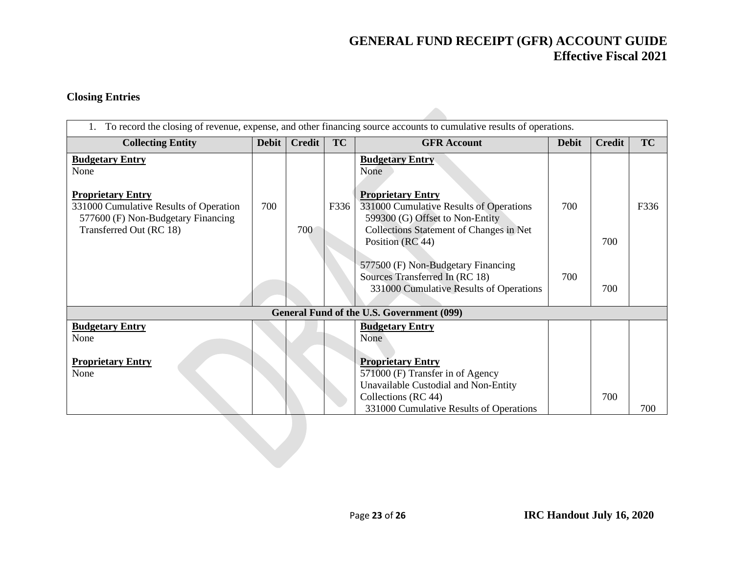### **Closing Entries**

| To record the closing of revenue, expense, and other financing source accounts to cumulative results of operations.                                                   |              |               |           |                                                                                                                                                                                                                                                                                                                            |              |               |           |
|-----------------------------------------------------------------------------------------------------------------------------------------------------------------------|--------------|---------------|-----------|----------------------------------------------------------------------------------------------------------------------------------------------------------------------------------------------------------------------------------------------------------------------------------------------------------------------------|--------------|---------------|-----------|
| <b>Collecting Entity</b>                                                                                                                                              | <b>Debit</b> | <b>Credit</b> | <b>TC</b> | <b>GFR Account</b>                                                                                                                                                                                                                                                                                                         | <b>Debit</b> | <b>Credit</b> | <b>TC</b> |
| <b>Budgetary Entry</b><br>None<br><b>Proprietary Entry</b><br>331000 Cumulative Results of Operation<br>577600 (F) Non-Budgetary Financing<br>Transferred Out (RC 18) | 700          | 700           | F336      | <b>Budgetary Entry</b><br>None<br><b>Proprietary Entry</b><br>331000 Cumulative Results of Operations<br>599300 (G) Offset to Non-Entity<br>Collections Statement of Changes in Net<br>Position (RC 44)<br>577500 (F) Non-Budgetary Financing<br>Sources Transferred In (RC 18)<br>331000 Cumulative Results of Operations | 700<br>700   | 700<br>700    | F336      |
|                                                                                                                                                                       |              |               |           | <b>General Fund of the U.S. Government (099)</b>                                                                                                                                                                                                                                                                           |              |               |           |
| <b>Budgetary Entry</b><br>None<br><b>Proprietary Entry</b><br>None                                                                                                    |              |               |           | <b>Budgetary Entry</b><br>None<br><b>Proprietary Entry</b><br>571000 (F) Transfer in of Agency<br>Unavailable Custodial and Non-Entity<br>Collections (RC 44)<br>331000 Cumulative Results of Operations                                                                                                                   |              | 700           | 700       |
|                                                                                                                                                                       |              |               |           |                                                                                                                                                                                                                                                                                                                            |              |               |           |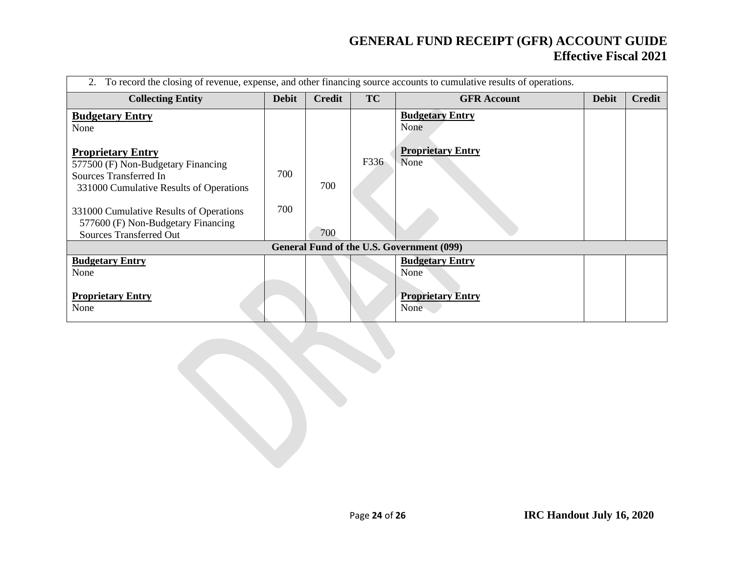| To record the closing of revenue, expense, and other financing source accounts to cumulative results of operations.<br>2.                                                                                                                              |              |               |           |                                  |              |               |  |
|--------------------------------------------------------------------------------------------------------------------------------------------------------------------------------------------------------------------------------------------------------|--------------|---------------|-----------|----------------------------------|--------------|---------------|--|
| <b>Collecting Entity</b>                                                                                                                                                                                                                               | <b>Debit</b> | <b>Credit</b> | <b>TC</b> | <b>GFR Account</b>               | <b>Debit</b> | <b>Credit</b> |  |
| <b>Budgetary Entry</b><br>None                                                                                                                                                                                                                         |              |               |           | <b>Budgetary Entry</b><br>None   |              |               |  |
| <b>Proprietary Entry</b><br>577500 (F) Non-Budgetary Financing<br>Sources Transferred In<br>331000 Cumulative Results of Operations<br>331000 Cumulative Results of Operations<br>577600 (F) Non-Budgetary Financing<br><b>Sources Transferred Out</b> | 700<br>700   | 700<br>700    | F336      | <b>Proprietary Entry</b><br>None |              |               |  |
| General Fund of the U.S. Government (099)                                                                                                                                                                                                              |              |               |           |                                  |              |               |  |
| <b>Budgetary Entry</b><br>None                                                                                                                                                                                                                         |              |               |           | <b>Budgetary Entry</b><br>None   |              |               |  |
| <b>Proprietary Entry</b><br>None                                                                                                                                                                                                                       |              |               |           | <b>Proprietary Entry</b><br>None |              |               |  |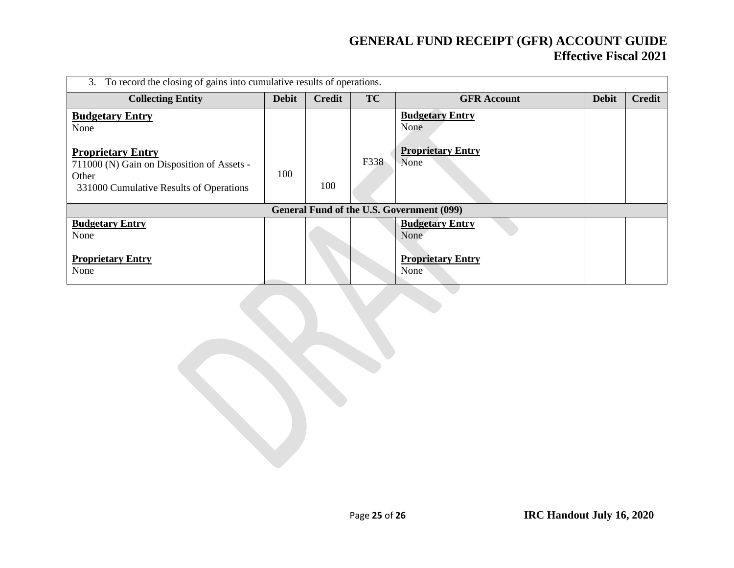| 3. To record the closing of gains into cumulative results of operations.                                                   |              |               |           |                                               |              |               |  |
|----------------------------------------------------------------------------------------------------------------------------|--------------|---------------|-----------|-----------------------------------------------|--------------|---------------|--|
| <b>Collecting Entity</b>                                                                                                   | <b>Debit</b> | <b>Credit</b> | <b>TC</b> | <b>GFR</b> Account                            | <b>Debit</b> | <b>Credit</b> |  |
| <b>Budgetary Entry</b><br>None                                                                                             |              |               |           | <b>Budgetary Entry</b><br>None                |              |               |  |
| <b>Proprietary Entry</b><br>711000 (N) Gain on Disposition of Assets -<br>Other<br>331000 Cumulative Results of Operations | 100          | 100           | F338      | <b>Proprietary Entry</b><br>None              |              |               |  |
| General Fund of the U.S. Government (099)                                                                                  |              |               |           |                                               |              |               |  |
| <b>Budgetary Entry</b><br>None                                                                                             |              |               |           | <b>Budgetary Entry</b><br>None                |              |               |  |
| <b>Proprietary Entry</b><br>None                                                                                           |              |               |           | <b>Proprietary Entry</b><br>None <sup>1</sup> |              |               |  |